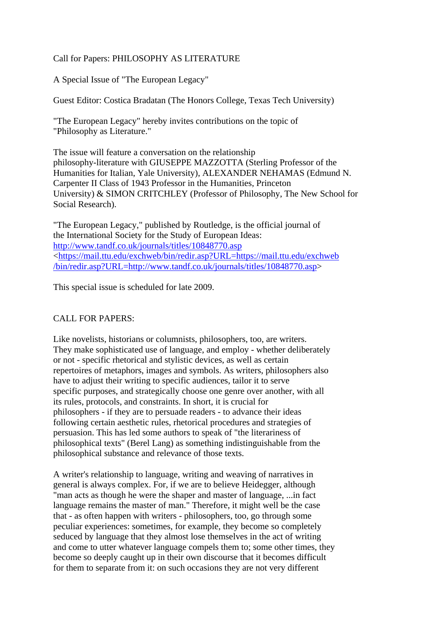## Call for Papers: PHILOSOPHY AS LITERATURE

A Special Issue of "The European Legacy"

Guest Editor: Costica Bradatan (The Honors College, Texas Tech University)

"The European Legacy" hereby invites contributions on the topic of "Philosophy as Literature."

The issue will feature a conversation on the relationship philosophy-literature with GIUSEPPE MAZZOTTA (Sterling Professor of the Humanities for Italian, Yale University), ALEXANDER NEHAMAS (Edmund N. Carpenter II Class of 1943 Professor in the Humanities, Princeton University) & SIMON CRITCHLEY (Professor of Philosophy, The New School for Social Research).

"The European Legacy," published by Routledge, is the official journal of the International Society for the Study of European Ideas: <http://www.tandf.co.uk/journals/titles/10848770.asp> <[https://mail.ttu.edu/exchweb/bin/redir.asp?URL=https://mail.ttu.edu/exchweb](https://mail.ttu.edu/exchweb/bin/redir.asp?URL=https://mail.ttu.edu/exchweb/bin/redir.asp?URL=http://www.tandf.co.uk/journals/titles/10848770.asp) [/bin/redir.asp?URL=http://www.tandf.co.uk/journals/titles/10848770.asp](https://mail.ttu.edu/exchweb/bin/redir.asp?URL=https://mail.ttu.edu/exchweb/bin/redir.asp?URL=http://www.tandf.co.uk/journals/titles/10848770.asp)>

This special issue is scheduled for late 2009.

## CALL FOR PAPERS:

Like novelists, historians or columnists, philosophers, too, are writers. They make sophisticated use of language, and employ - whether deliberately or not - specific rhetorical and stylistic devices, as well as certain repertoires of metaphors, images and symbols. As writers, philosophers also have to adjust their writing to specific audiences, tailor it to serve specific purposes, and strategically choose one genre over another, with all its rules, protocols, and constraints. In short, it is crucial for philosophers - if they are to persuade readers - to advance their ideas following certain aesthetic rules, rhetorical procedures and strategies of persuasion. This has led some authors to speak of "the literariness of philosophical texts" (Berel Lang) as something indistinguishable from the philosophical substance and relevance of those texts.

A writer's relationship to language, writing and weaving of narratives in general is always complex. For, if we are to believe Heidegger, although "man acts as though he were the shaper and master of language, ...in fact language remains the master of man." Therefore, it might well be the case that - as often happen with writers - philosophers, too, go through some peculiar experiences: sometimes, for example, they become so completely seduced by language that they almost lose themselves in the act of writing and come to utter whatever language compels them to; some other times, they become so deeply caught up in their own discourse that it becomes difficult for them to separate from it: on such occasions they are not very different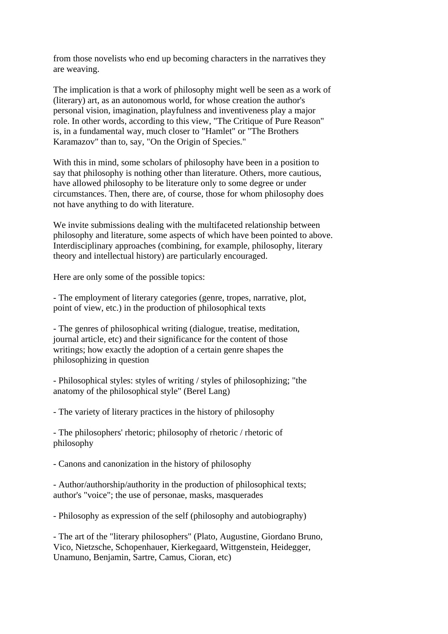from those novelists who end up becoming characters in the narratives they are weaving.

The implication is that a work of philosophy might well be seen as a work of (literary) art, as an autonomous world, for whose creation the author's personal vision, imagination, playfulness and inventiveness play a major role. In other words, according to this view, "The Critique of Pure Reason" is, in a fundamental way, much closer to "Hamlet" or "The Brothers Karamazov" than to, say, "On the Origin of Species."

With this in mind, some scholars of philosophy have been in a position to say that philosophy is nothing other than literature. Others, more cautious, have allowed philosophy to be literature only to some degree or under circumstances. Then, there are, of course, those for whom philosophy does not have anything to do with literature.

We invite submissions dealing with the multifaceted relationship between philosophy and literature, some aspects of which have been pointed to above. Interdisciplinary approaches (combining, for example, philosophy, literary theory and intellectual history) are particularly encouraged.

Here are only some of the possible topics:

- The employment of literary categories (genre, tropes, narrative, plot, point of view, etc.) in the production of philosophical texts

- The genres of philosophical writing (dialogue, treatise, meditation, journal article, etc) and their significance for the content of those writings; how exactly the adoption of a certain genre shapes the philosophizing in question

- Philosophical styles: styles of writing / styles of philosophizing; "the anatomy of the philosophical style" (Berel Lang)

- The variety of literary practices in the history of philosophy

- The philosophers' rhetoric; philosophy of rhetoric / rhetoric of philosophy

- Canons and canonization in the history of philosophy

- Author/authorship/authority in the production of philosophical texts; author's "voice"; the use of personae, masks, masquerades

- Philosophy as expression of the self (philosophy and autobiography)

- The art of the "literary philosophers" (Plato, Augustine, Giordano Bruno, Vico, Nietzsche, Schopenhauer, Kierkegaard, Wittgenstein, Heidegger, Unamuno, Benjamin, Sartre, Camus, Cioran, etc)